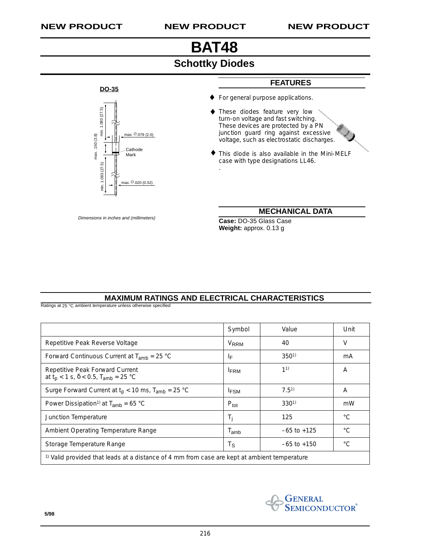**DO-35**

min. 1.083 (27.5)

min. 1.083 (27.5)

max. .150 (3.8)

max. . 150 (3.8)

min. 1.083 (27.5)

min. 1.083 (27.5)

max. ∅ .020 (0.52)

Cathode Mark

nax. <sup>∅</sup>.079 (2.0)

# **BAT48**

### **Schottky Diodes**

♦

.

These diodes feature very low turn-on voltage and fast switching. These devices are protected by a PN junction guard ring against excessive voltage, such as electrostatic discharges. ♦

For general purpose applications.

**FEATURES**

This diode is also available in the Mini-MELF ♦ case with type designations LL46.

**MECHANICAL DATA**

Dimensions in inches and (millimeters) **Case:** DO-35 Glass Case **Weight:** approx. 0.13 g

#### **MAXIMUM RATINGS AND ELECTRICAL CHARACTERISTICS**

Ratings at 25 °C ambient temperature unless otherwise specified

|                                                                                                         | Symbol                  | Value           | Unit          |  |  |  |
|---------------------------------------------------------------------------------------------------------|-------------------------|-----------------|---------------|--|--|--|
| Repetitive Peak Reverse Voltage                                                                         | <b>V</b> <sub>RRM</sub> | 40              | V             |  |  |  |
| Forward Continuous Current at $T_{amb}$ = 25 °C                                                         | IF                      | $350^{1}$       | mA            |  |  |  |
| Repetitive Peak Forward Current<br>at $t_p$ < 1 s, $\delta$ < 0.5, T <sub>amb</sub> = 25 °C             | <b>FRM</b>              | 11)             | A             |  |  |  |
| Surge Forward Current at $t_p$ < 10 ms, $T_{amb}$ = 25 °C                                               | <sup>I</sup> FSM        | $7.5^{1}$       | A             |  |  |  |
| Power Dissipation <sup>1)</sup> at $T_{amb}$ = 65 °C                                                    | $P_{\text{tot}}$        | $330^{1}$       | mW            |  |  |  |
| Junction Temperature                                                                                    | Τi                      | 125             | $^{\circ}$ C. |  |  |  |
| Ambient Operating Temperature Range                                                                     | $T_{\mathsf{amb}}$      | $-65$ to $+125$ | $^{\circ}C$   |  |  |  |
| Storage Temperature Range                                                                               | Τs                      | $-65$ to $+150$ | $^{\circ}$ C  |  |  |  |
| <sup>1)</sup> Valid provided that leads at a distance of 4 mm from case are kept at ambient temperature |                         |                 |               |  |  |  |



#### **5/98**